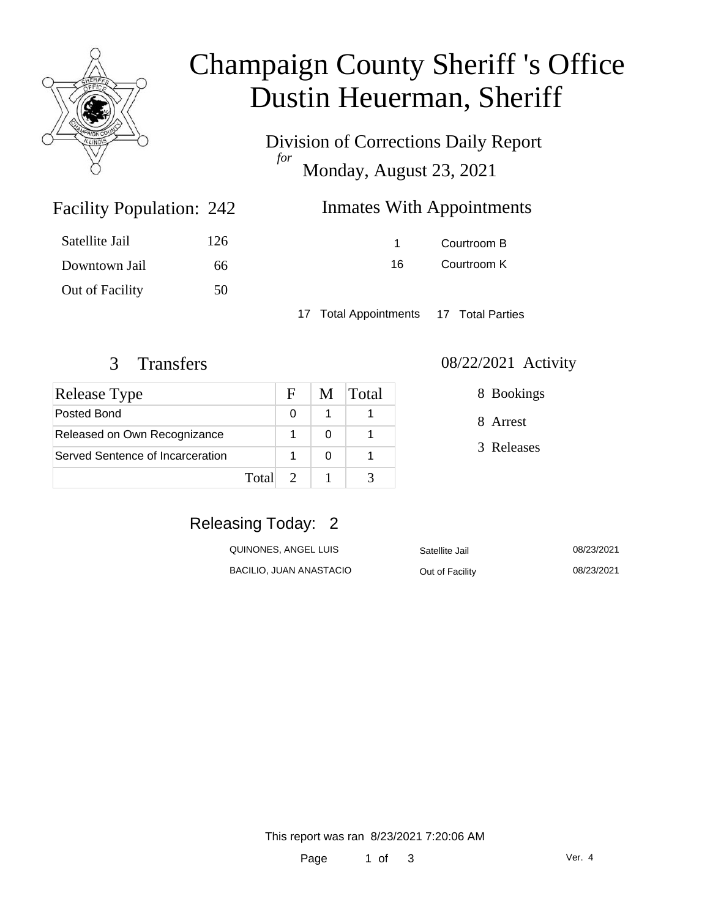

# Champaign County Sheriff 's Office Dustin Heuerman, Sheriff

Division of Corrections Daily Report *for* Monday, August 23, 2021

### Inmates With Appointments

| Satellite Jail  | 126 |
|-----------------|-----|
| Downtown Jail   | 66. |
| Out of Facility | 50  |

Facility Population: 242

1 Courtroom B 16 Courtroom K

17 Total Appointments 17 Total Parties

| <b>Release Type</b>              |       | F | M | $\lfloor \text{Total} \rfloor$ |
|----------------------------------|-------|---|---|--------------------------------|
| Posted Bond                      |       | ∩ |   |                                |
| Released on Own Recognizance     |       |   |   |                                |
| Served Sentence of Incarceration |       |   |   |                                |
|                                  | Total |   |   |                                |

#### 3 Transfers 08/22/2021 Activity

8 Bookings

8 Arrest

3 Releases

### Releasing Today: 2

| QUINONES, ANGEL LUIS    | Satellite Jail  | 08/23/2021 |
|-------------------------|-----------------|------------|
| BACILIO, JUAN ANASTACIO | Out of Facility | 08/23/2021 |

This report was ran 8/23/2021 7:20:06 AM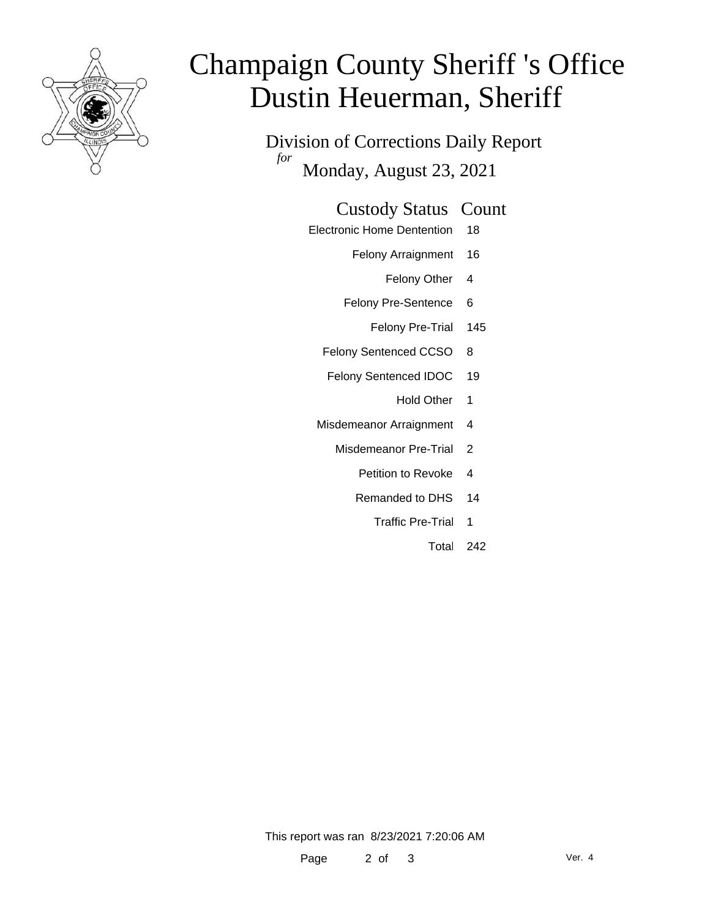

# Champaign County Sheriff 's Office Dustin Heuerman, Sheriff

Division of Corrections Daily Report *for* Monday, August 23, 2021

#### Custody Status Count

- Electronic Home Dentention 18
	- Felony Arraignment 16
		- Felony Other 4
	- Felony Pre-Sentence 6
		- Felony Pre-Trial 145
	- Felony Sentenced CCSO 8
	- Felony Sentenced IDOC 19
		- Hold Other 1
	- Misdemeanor Arraignment 4
		- Misdemeanor Pre-Trial 2
			- Petition to Revoke 4
			- Remanded to DHS 14
				- Traffic Pre-Trial 1
					- Total 242

This report was ran 8/23/2021 7:20:06 AM